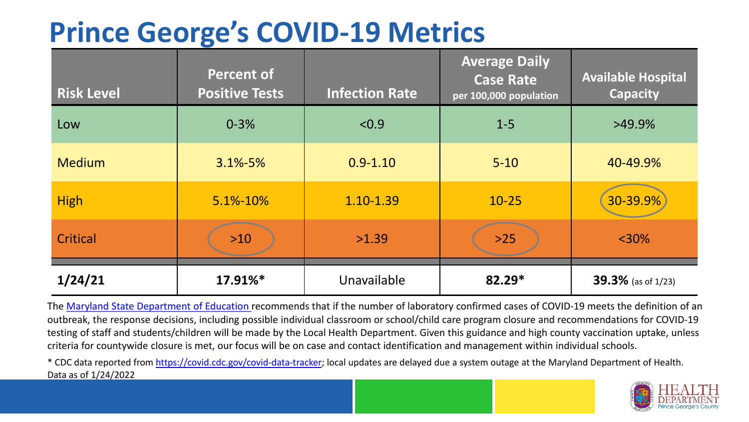## **Prince George's COVID-19 Metrics**

| <b>Risk Level</b> | <b>Percent of</b><br><b>Positive Tests</b> | <b>Infection Rate</b> | <b>Average Daily</b><br><b>Case Rate</b><br>per 100,000 population | <b>Available Hospital</b><br><b>Capacity</b> |
|-------------------|--------------------------------------------|-----------------------|--------------------------------------------------------------------|----------------------------------------------|
| Low               | $0 - 3%$                                   | < 0.9                 | $1 - 5$                                                            | $>49.9\%$                                    |
| <b>Medium</b>     | $3.1\% - 5\%$                              | $0.9 - 1.10$          | $5 - 10$                                                           | 40-49.9%                                     |
| <b>High</b>       | 5.1%-10%                                   | 1.10-1.39             | $10 - 25$                                                          | 30-39.9%                                     |
| Critical          | $>10$                                      | >1.39                 | $>25$                                                              | $<$ 30%                                      |
| 1/24/21           | 17.91%*                                    | Unavailable           | $82.29*$                                                           | <b>39.3%</b> (as of 1/23)                    |

The [Maryland State Department of Education](https://earlychildhood.marylandpublicschools.org/system/files/filedepot/3/covid_guidance_full_080420.pdf) recommends that if the number of laboratory confirmed cases of COVID-19 meets the definition of an outbreak, the response decisions, including possible individual classroom or school/child care program closure and recommendations for COVID-19 testing of staff and students/children will be made by the Local Health Department. Given this guidance and high county vaccination uptake, unless criteria for countywide closure is met, our focus will be on case and contact identification and management within individual schools.

\* CDC data reported from <https://covid.cdc.gov/covid-data-tracker>; local updates are delayed due a system outage at the Maryland Department of Health. Data as of 1/24/2022

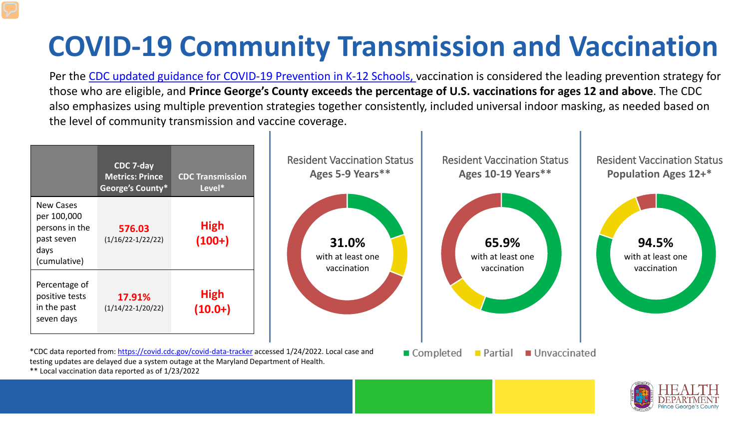## **COVID-19 Community Transmission and Vaccination**

Per the [CDC updated guidance for COVID-19 Prevention in K-12 Schools,](https://www.cdc.gov/coronavirus/2019-ncov/community/schools-childcare/k-12-guidance.html) vaccination is considered the leading prevention strategy for those who are eligible, and **Prince George's County exceeds the percentage of U.S. vaccinations for ages 12 and above**. The CDC also emphasizes using multiple prevention strategies together consistently, included universal indoor masking, as needed based on the level of community transmission and vaccine coverage.